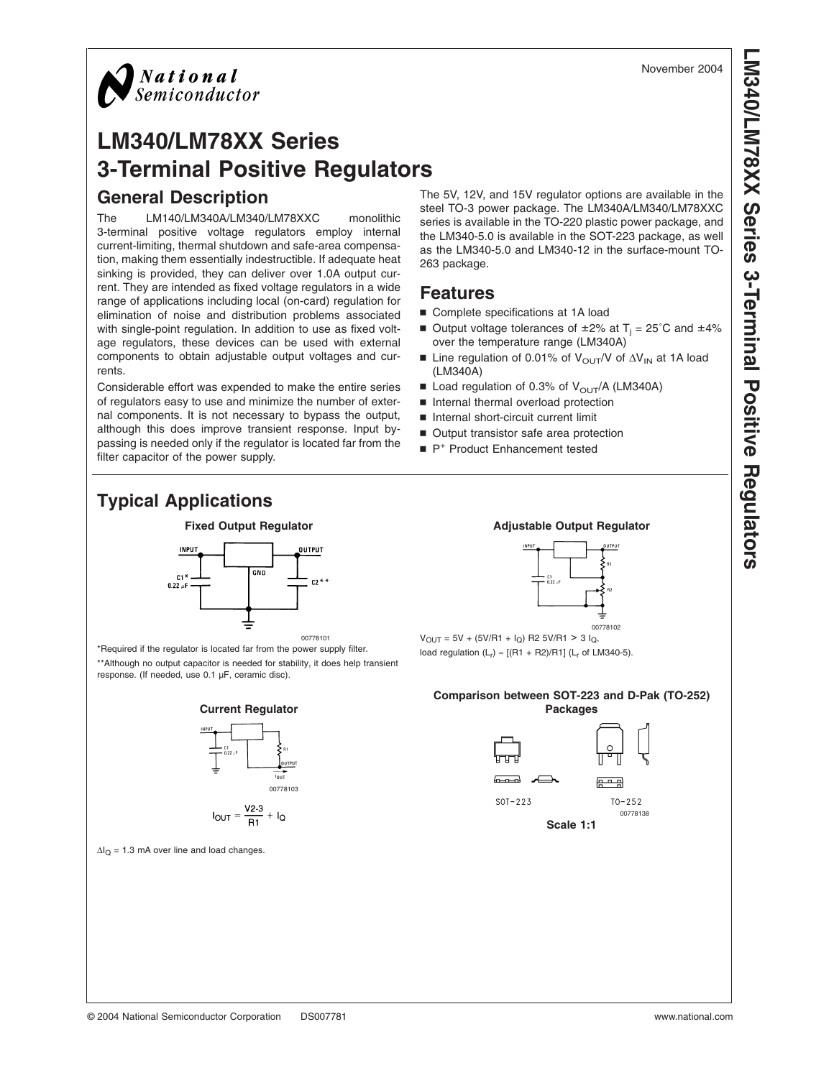

# **LM340/LM78XX Series 3-Terminal Positive Regulators General Description**

The LM140/LM340A/LM340/LM78XXC monolithic 3-terminal positive voltage regulators employ internal current-limiting, thermal shutdown and safe-area compensation, making them essentially indestructible. If adequate heat sinking is provided, they can deliver over 1.0A output current. They are intended as fixed voltage regulators in a wide range of applications including local (on-card) regulation for elimination of noise and distribution problems associated with single-point regulation. In addition to use as fixed voltage regulators, these devices can be used with external components to obtain adjustable output voltages and currents.

Considerable effort was expended to make the entire series of regulators easy to use and minimize the number of external components. It is not necessary to bypass the output, although this does improve transient response. Input bypassing is needed only if the regulator is located far from the filter capacitor of the power supply.

The 5V, 12V, and 15V regulator options are available in the steel TO-3 power package. The LM340A/LM340/LM78XXC series is available in the TO-220 plastic power package, and the LM340-5.0 is available in the SOT-223 package, as well as the LM340-5.0 and LM340-12 in the surface-mount TO-263 package.

### **Features**

- Complete specifications at 1A load
- Output voltage tolerances of  $\pm 2\%$  at T<sub>i</sub> = 25°C and  $\pm 4\%$ over the temperature range (LM340A)
- Line regulation of 0.01% of V<sub>OUT</sub>/V of ∆V<sub>IN</sub> at 1A load (LM340A)
- Load regulation of 0.3% of  $V_{\text{OUT}}/A$  (LM340A)
- n Internal thermal overload protection
- n Internal short-circuit current limit
- Output transistor safe area protection
- P<sup>+</sup> Product Enhancement tested

# **Typical Applications**



\*Required if the regulator is located far from the power supply filter. \*\*Although no output capacitor is needed for stability, it does help transient response. (If needed, use 0.1 µF, ceramic disc).

**Current Regulator**



$$
I_{OUT} = \frac{V2-3}{R1} + I_Q
$$

 $\Delta I_Q = 1.3$  mA over line and load changes.

### **Fixed Output Regulator Adjustable Output Regulator Adjustable Output Regulator**



00778102  $V_{\text{OUT}} = 5V + (5V/R1 + I_{\text{Q}})$  R2 5V/R1 > 3  $I_{\text{Q}}$ , load regulation  $(L_r) \approx [(R1 + R2)/R1]$  ( $L_r$  of LM340-5).

### **Comparison between SOT-223 and D-Pak (TO-252) Packages**



**Scale 1:1**

00778138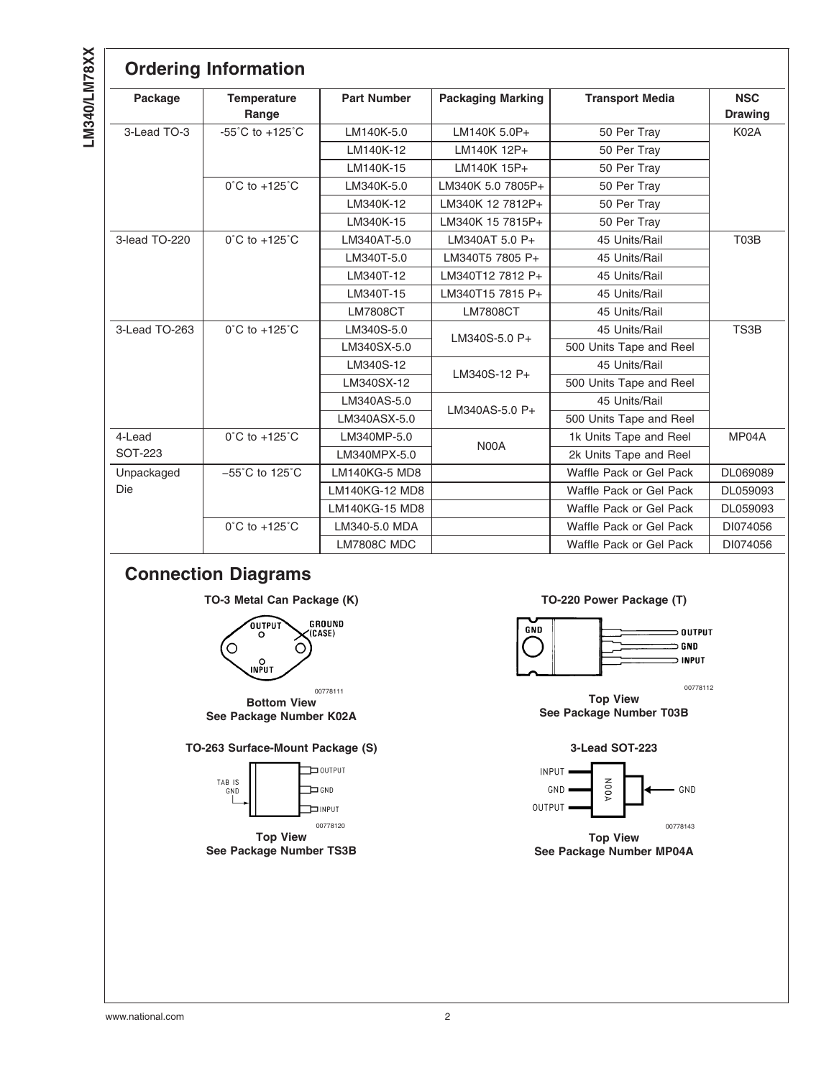|               | <b>Ordering Information</b>         |                      |                          |                         |                              |
|---------------|-------------------------------------|----------------------|--------------------------|-------------------------|------------------------------|
| Package       | <b>Temperature</b><br>Range         | <b>Part Number</b>   | <b>Packaging Marking</b> | <b>Transport Media</b>  | <b>NSC</b><br><b>Drawing</b> |
| 3-Lead TO-3   | $-55^{\circ}$ C to $+125^{\circ}$ C | LM140K-5.0           | LM140K 5.0P+             | 50 Per Tray             | <b>K02A</b>                  |
|               |                                     | LM140K-12            | LM140K 12P+              | 50 Per Tray             |                              |
|               |                                     | LM140K-15            | LM140K 15P+              | 50 Per Tray             |                              |
|               | $0^{\circ}$ C to +125 $^{\circ}$ C  | LM340K-5.0           | LM340K 5.0 7805P+        | 50 Per Tray             |                              |
|               |                                     | LM340K-12            | LM340K 12 7812P+         | 50 Per Tray             |                              |
|               |                                     | LM340K-15            | LM340K 15 7815P+         | 50 Per Tray             |                              |
| 3-lead TO-220 | $0^{\circ}$ C to +125 $^{\circ}$ C  | LM340AT-5.0          | LM340AT 5.0 P+           | 45 Units/Rail           | T03B                         |
|               |                                     | LM340T-5.0           | LM340T5 7805 P+          | 45 Units/Rail           |                              |
|               |                                     | LM340T-12            | LM340T12 7812 P+         | 45 Units/Rail           |                              |
|               |                                     | LM340T-15            | LM340T15 7815 P+         | 45 Units/Rail           |                              |
|               |                                     | <b>LM7808CT</b>      | <b>LM7808CT</b>          | 45 Units/Rail           |                              |
| 3-Lead TO-263 | 0°C to +125°C                       | LM340S-5.0           | LM340S-5.0 P+            | 45 Units/Rail           | TS3B                         |
|               |                                     | LM340SX-5.0          |                          | 500 Units Tape and Reel |                              |
|               |                                     | LM340S-12            | LM340S-12 P+             | 45 Units/Rail           |                              |
|               |                                     | LM340SX-12           |                          | 500 Units Tape and Reel |                              |
|               |                                     | LM340AS-5.0          | LM340AS-5.0 P+           | 45 Units/Rail           |                              |
|               |                                     | LM340ASX-5.0         |                          | 500 Units Tape and Reel |                              |
| 4-Lead        | $0^{\circ}$ C to +125 $^{\circ}$ C  | LM340MP-5.0          | N00A                     | 1k Units Tape and Reel  | MP04A                        |
| SOT-223       |                                     | LM340MPX-5.0         |                          | 2k Units Tape and Reel  |                              |
| Unpackaged    | $-55^{\circ}$ C to 125 $^{\circ}$ C | <b>LM140KG-5 MD8</b> |                          | Waffle Pack or Gel Pack | DL069089                     |
| Die           |                                     | LM140KG-12 MD8       |                          | Waffle Pack or Gel Pack | DL059093                     |
|               |                                     | LM140KG-15 MD8       |                          | Waffle Pack or Gel Pack | DL059093                     |
|               | $0^{\circ}$ C to +125 $^{\circ}$ C  | LM340-5.0 MDA        |                          | Waffle Pack or Gel Pack | DI074056                     |
|               |                                     | <b>LM7808C MDC</b>   |                          | Waffle Pack or Gel Pack | DI074056                     |

# **Connection Diagrams**



**See Package Number K02A**

### **TO-263 Surface-Mount Package (S) 3-Lead SOT-223**



**See Package Number TS3B**

### TO-3 Metal Can Package (K) TO-220 Power Package (T)



00778112

**Top View See Package Number T03B**





**Top View See Package Number MP04A**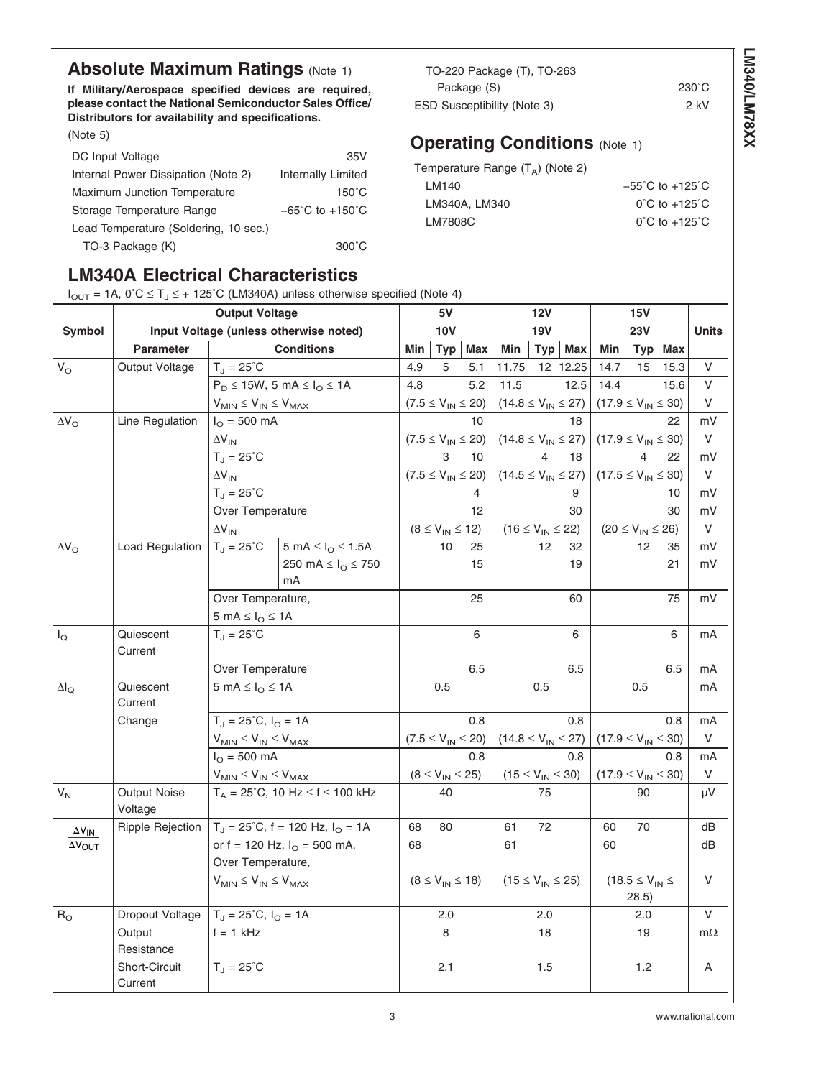## **Absolute Maximum Ratings [\(Note 1\)](#page-5-0)**

**If Military/Aerospace specified devices are required, please contact the National Semiconductor Sales Office/ Distributors for availability and specifications.**

[\(Note 5\)](#page-5-0)

| DC Input Voltage                      | 35V                                 |
|---------------------------------------|-------------------------------------|
| Internal Power Dissipation (Note 2)   | Internally Limited                  |
| Maximum Junction Temperature          | $150^{\circ}$ C                     |
| Storage Temperature Range             | $-65^{\circ}$ C to $+150^{\circ}$ C |
| Lead Temperature (Soldering, 10 sec.) |                                     |
| TO-3 Package (K)                      | $300^{\circ}$ C                     |

# **LM340A Electrical Characteristics**

 $I_{\text{OUT}} = 1$ A,  $0^{\circ}$ C  $\leq$  T<sub>1</sub> $\leq$  + 125°C (LM340A) unless otherwise specified [\(Note 4\)](#page-5-0)

TO-220 Package (T), TO-263 Package (S) 230°C ESD Susceptibility [\(Note 3\)](#page-5-0) 2 kV

## **Operating Conditions** [\(Note 1\)](#page-5-0)

| Temperature Range $(TA)$ (Note 2) |                                     |
|-----------------------------------|-------------------------------------|
| LM140                             | $-55^{\circ}$ C to $+125^{\circ}$ C |
| LM340A, LM340                     | $0^{\circ}$ C to +125 $^{\circ}$ C  |
| LM7808C                           | $0^{\circ}$ C to +125 $^{\circ}$ C  |
|                                   |                                     |

|                         |                                | <b>Output Voltage</b>                                                                    | $\frac{1}{2}$ , $\frac{1}{2}$ $\frac{1}{2}$ $\frac{1}{2}$ $\frac{1}{2}$ $\frac{1}{2}$ $\frac{1}{2}$ $\frac{1}{2}$ $\frac{1}{2}$ $\frac{1}{2}$ $\frac{1}{2}$ $\frac{1}{2}$ $\frac{1}{2}$ $\frac{1}{2}$ $\frac{1}{2}$ $\frac{1}{2}$ $\frac{1}{2}$ $\frac{1}{2}$ $\frac{1}{2}$ $\frac{1}{2}$ $\frac{1}{2}$ $\frac{1}{2}$ |     | 5V                        |                           |                            | <b>12V</b>     |                            |                            | <b>15V</b>                        |      |              |
|-------------------------|--------------------------------|------------------------------------------------------------------------------------------|-----------------------------------------------------------------------------------------------------------------------------------------------------------------------------------------------------------------------------------------------------------------------------------------------------------------------|-----|---------------------------|---------------------------|----------------------------|----------------|----------------------------|----------------------------|-----------------------------------|------|--------------|
| <b>Symbol</b>           |                                |                                                                                          | Input Voltage (unless otherwise noted)                                                                                                                                                                                                                                                                                |     | <b>10V</b>                |                           |                            | <b>19V</b>     |                            |                            | 23V                               |      | <b>Units</b> |
|                         | <b>Parameter</b>               |                                                                                          | <b>Conditions</b>                                                                                                                                                                                                                                                                                                     | Min | <b>Typ</b>                | Max                       | Min                        | Type           | <b>Max</b>                 | Min                        | <b>Typ</b>                        | Max  |              |
| $\mathsf{V}_\mathsf{O}$ | Output Voltage                 | $T_{J} = 25^{\circ}C$                                                                    |                                                                                                                                                                                                                                                                                                                       | 4.9 | 5                         | 5.1                       | 11.75                      |                | 12 12.25                   | 14.7                       | 15                                | 15.3 | V            |
|                         |                                |                                                                                          | $P_D \le 15W$ , 5 mA $\le I_O \le 1A$                                                                                                                                                                                                                                                                                 | 4.8 |                           | 5.2                       | 11.5                       |                | 12.5                       | 14.4                       |                                   | 15.6 | V            |
|                         |                                | $\mathsf{V}_{\mathsf{MIN}} \leq \mathsf{V}_{\mathsf{IN}} \leq \mathsf{V}_{\mathsf{MAX}}$ |                                                                                                                                                                                                                                                                                                                       |     | $(7.5 \le V_{IN} \le 20)$ |                           |                            |                | $(14.8 \le V_{IN} \le 27)$ | $(17.9 \le V_{IN} \le 30)$ |                                   |      | V            |
| $\Delta V_{\rm O}$      | Line Regulation                | $I_{\Omega} = 500 \text{ mA}$                                                            |                                                                                                                                                                                                                                                                                                                       |     |                           | 10                        |                            |                | 18                         |                            |                                   | 22   | mV           |
|                         |                                | $\Delta V_{IN}$                                                                          |                                                                                                                                                                                                                                                                                                                       |     |                           | $(7.5 \le V_{IN} \le 20)$ | $(14.8 \le V_{IN} \le 27)$ |                |                            | $(17.9 \le V_{IN} \le 30)$ |                                   |      | V            |
|                         |                                | $T_{\rm J} = 25^{\circ}$ C                                                               |                                                                                                                                                                                                                                                                                                                       |     | $\mathcal{R}$             | 10                        |                            | $\overline{4}$ | 18                         |                            | $\overline{4}$                    | 22   | mV           |
|                         |                                | $\Delta V_{IN}$                                                                          |                                                                                                                                                                                                                                                                                                                       |     |                           | $(7.5 \le V_{IN} \le 20)$ | $(14.5 \le V_{IN} \le 27)$ |                |                            | $(17.5 \le V_{IN} \le 30)$ |                                   |      | V            |
|                         |                                | $T_{\rm J} = 25^{\circ}$ C                                                               |                                                                                                                                                                                                                                                                                                                       |     |                           |                           |                            |                | 9                          |                            |                                   | 10   | mV           |
|                         |                                | Over Temperature                                                                         |                                                                                                                                                                                                                                                                                                                       |     |                           | 12                        |                            |                | 30                         |                            |                                   | 30   | mV           |
|                         |                                | $\Delta V_{IN}$                                                                          |                                                                                                                                                                                                                                                                                                                       |     | $(8 \le V_{IN} \le 12)$   |                           | $(16 \le V_{IN} \le 22)$   |                |                            | $(20 \le V_{IN} \le 26)$   |                                   |      | V            |
| $\Delta V_{\rm O}$      | <b>Load Regulation</b>         | $T_J = 25^{\circ}C$                                                                      | 5 mA $\leq$ $I_{\odot}$ $\leq$ 1.5A                                                                                                                                                                                                                                                                                   |     | 10                        | 25                        |                            | 12             | 32                         |                            | 12 <sup>2</sup>                   | 35   | mV           |
|                         |                                |                                                                                          | 250 mA $\leq$ $I_{\odot}$ $\leq$ 750<br>mA                                                                                                                                                                                                                                                                            |     |                           | 15                        |                            |                | 19                         |                            |                                   | 21   | mV           |
|                         |                                | Over Temperature,                                                                        |                                                                                                                                                                                                                                                                                                                       |     |                           | 25                        |                            |                | 60                         |                            |                                   | 75   | mV           |
|                         |                                | $5 \text{ mA} \leq I_{\text{O}} \leq 1 \text{ A}$                                        |                                                                                                                                                                                                                                                                                                                       |     |                           |                           |                            |                |                            |                            |                                   |      |              |
| $I_{\mathsf{Q}}$        | Quiescent<br>Current           | $T_{J} = 25^{\circ}C$                                                                    |                                                                                                                                                                                                                                                                                                                       |     |                           | 6                         |                            |                | 6                          |                            |                                   | 6    | mA           |
|                         |                                | Over Temperature                                                                         |                                                                                                                                                                                                                                                                                                                       |     |                           | 6.5                       |                            |                | 6.5                        |                            |                                   | 6.5  | mA           |
| $\Delta I_{\textsf{Q}}$ | Quiescent<br>Current           | 5 mA $\leq$ $I_{\odot}$ $\leq$ 1A                                                        |                                                                                                                                                                                                                                                                                                                       |     | 0.5                       |                           |                            | 0.5            |                            |                            | 0.5                               |      | mA           |
|                         | Change                         | $T_{\text{d}} = 25^{\circ}C, I_{\text{O}} = 1A$                                          |                                                                                                                                                                                                                                                                                                                       |     |                           | 0.8                       |                            |                | 0.8                        |                            |                                   | 0.8  | mA           |
|                         |                                | $V_{MIN} \leq V_{IN} \leq V_{MAX}$                                                       |                                                                                                                                                                                                                                                                                                                       |     | $(7.5 \le V_{IN} \le 20)$ |                           | $(14.8 \le V_{IN} \le 27)$ |                |                            | $(17.9 \le V_{IN} \le 30)$ |                                   |      | V            |
|                         |                                | $I_{\Omega} = 500 \text{ mA}$                                                            |                                                                                                                                                                                                                                                                                                                       |     |                           | 0.8                       |                            |                | 0.8                        |                            |                                   | 0.8  | mA           |
|                         |                                | $\mathsf{V}_{\mathsf{MIN}} \leq \mathsf{V}_{\mathsf{IN}} \leq \mathsf{V}_{\mathsf{MAX}}$ |                                                                                                                                                                                                                                                                                                                       |     | $(8 \le V_{IN} \le 25)$   |                           | $(15 \le V_{IN} \le 30)$   |                |                            | $(17.9 \le V_{IN} \le 30)$ |                                   |      | V            |
| $V_N$                   | <b>Output Noise</b><br>Voltage |                                                                                          | $T_A = 25^{\circ}$ C, 10 Hz $\leq f \leq 100$ kHz                                                                                                                                                                                                                                                                     |     | 40                        |                           |                            | 75             |                            |                            | 90                                |      | μV           |
| $\Delta V_{IN}$         | Ripple Rejection               |                                                                                          | $T_{J}$ = 25°C, f = 120 Hz, $I_{O}$ = 1A                                                                                                                                                                                                                                                                              | 68  | 80                        |                           | 61                         | 72             |                            | 60                         | 70                                |      | dB           |
| <b>AVOUT</b>            |                                |                                                                                          | or $f = 120$ Hz, $I_{\text{O}} = 500$ mA,                                                                                                                                                                                                                                                                             | 68  |                           |                           | 61                         |                |                            | 60                         |                                   |      | dB           |
|                         |                                | Over Temperature,                                                                        |                                                                                                                                                                                                                                                                                                                       |     |                           |                           |                            |                |                            |                            |                                   |      |              |
|                         |                                | $V_{MIN} \leq V_{IN} \leq V_{MAX}$                                                       |                                                                                                                                                                                                                                                                                                                       |     | $(8 \le V_{IN} \le 18)$   |                           | $(15 \le V_{IN} \le 25)$   |                |                            |                            | $(18.5 \leq V_{IN} \leq$<br>28.5) |      | V            |
| $\mathsf{R}_\mathsf{O}$ | Dropout Voltage                | $T_{J} = 25^{\circ}C, I_{O} = 1A$                                                        |                                                                                                                                                                                                                                                                                                                       |     | 2.0                       |                           |                            | 2.0            |                            |                            | 2.0                               |      | V            |
|                         | Output<br>Resistance           | $f = 1$ kHz                                                                              |                                                                                                                                                                                                                                                                                                                       |     | 8                         |                           |                            | 18             |                            |                            | 19                                |      | $m\Omega$    |
|                         | Short-Circuit<br>Current       | $T_J = 25^{\circ}C$                                                                      |                                                                                                                                                                                                                                                                                                                       |     | 2.1                       |                           |                            | 1.5            |                            |                            | $1.2$                             |      | Α            |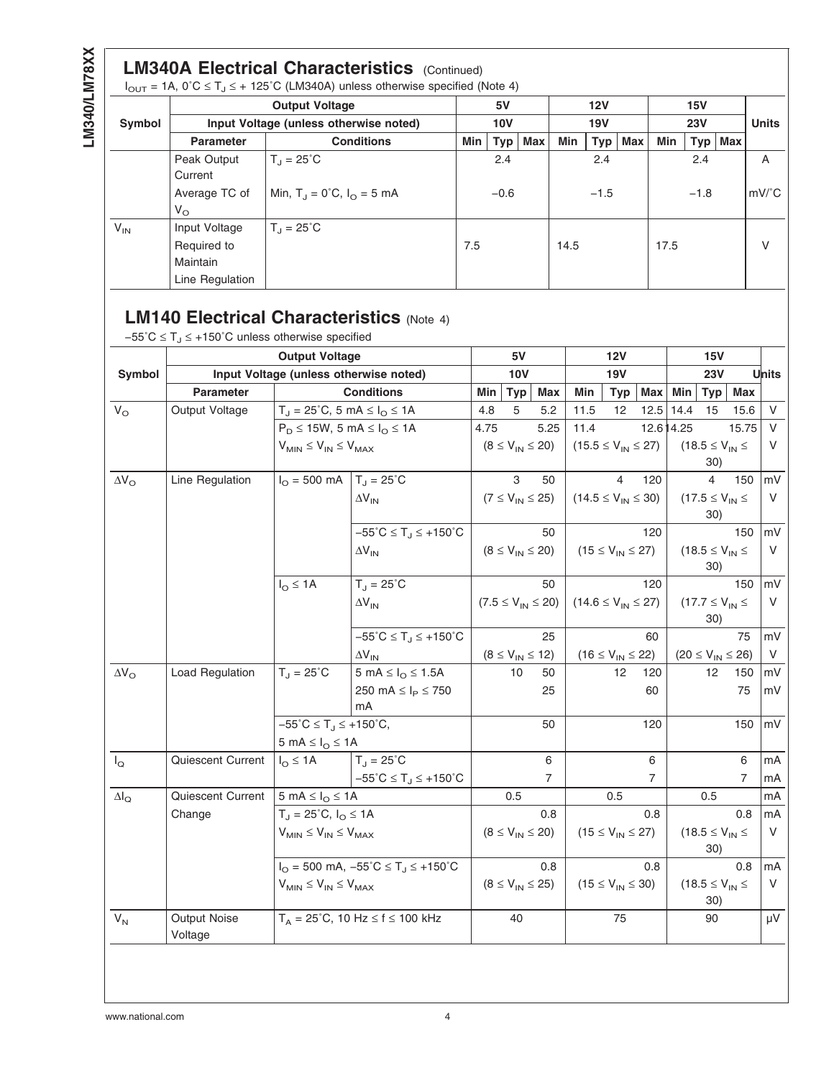## **LM340A Electrical Characteristics** (Continued)

 $I_{\text{OUT}} = 1$ A, 0°C  $\leq T_J \leq + 125$ °C (LM340A) unless otherwise specified [\(Note 4\)](#page-5-0)

|          |                  | <b>Output Voltage</b>                              |            | 5V     |     |            | 12V    |     |      | 15V       |               |
|----------|------------------|----------------------------------------------------|------------|--------|-----|------------|--------|-----|------|-----------|---------------|
| Symbol   |                  | Input Voltage (unless otherwise noted)             | <b>10V</b> |        |     | <b>19V</b> |        |     |      | 23V       | <b>Units</b>  |
|          | <b>Parameter</b> | <b>Conditions</b>                                  | Min        | Type   | Max | Min        | Typ    | Max | Min  | Typ   Max |               |
|          | Peak Output      | $T_{\rm d} = 25^{\circ}C$                          |            | 2.4    |     |            | 2.4    |     |      | 2.4       | A             |
|          | Current          |                                                    |            |        |     |            |        |     |      |           |               |
|          | Average TC of    | Min, $T_{\rm d} = 0^{\circ}C$ , $I_{\rm O} = 5$ mA |            | $-0.6$ |     |            | $-1.5$ |     |      | $-1.8$    | $mV^{\circ}C$ |
|          | $V_{\rm O}$      |                                                    |            |        |     |            |        |     |      |           |               |
| $V_{IN}$ | Input Voltage    | $T_1 = 25^{\circ}C$                                |            |        |     |            |        |     |      |           |               |
|          | Required to      |                                                    | 7.5        |        |     | 14.5       |        |     | 17.5 |           | V             |
|          | Maintain         |                                                    |            |        |     |            |        |     |      |           |               |
|          | Line Regulation  |                                                    |            |        |     |            |        |     |      |           |               |

# **LM140 Electrical Characteristics [\(Note 4\)](#page-5-0)**

 $-55^{\circ}$ C ≤ T<sub>J</sub> ≤ +150 $^{\circ}$ C unless otherwise specified

|                    |                                | <b>Output Voltage</b>                                               |                                                                  |      | 5V                      |                           |                            | <b>12V</b>               |                |            | 15V                               |       |              |
|--------------------|--------------------------------|---------------------------------------------------------------------|------------------------------------------------------------------|------|-------------------------|---------------------------|----------------------------|--------------------------|----------------|------------|-----------------------------------|-------|--------------|
| Symbol             |                                |                                                                     | Input Voltage (unless otherwise noted)                           |      | <b>10V</b>              |                           |                            | <b>19V</b>               |                |            | 23V                               |       | <b>Units</b> |
|                    | <b>Parameter</b>               | <b>Conditions</b><br>$T_J = 25^{\circ}C$ , 5 mA $\leq I_O \leq 1$ A |                                                                  |      | <b>Typ</b>              | <b>Max</b>                | Min                        | <b>Typ</b>               | <b>Max</b>     | Min        | <b>Typ</b>                        | Max   |              |
| $V_{\rm O}$        | Output Voltage                 |                                                                     |                                                                  | 4.8  | 5                       | 5.2                       | 11.5                       | 12                       | 12.5           | 14.4       | 15                                | 15.6  | V            |
|                    |                                | $P_D \le 15W$ , 5 mA $\le I_O \le 1A$                               |                                                                  | 4.75 |                         | 5.25                      | 11.4                       |                          |                | 12.6 14.25 |                                   | 15.75 | V            |
|                    |                                | $V_{MIN} \leq V_{IN} \leq V_{MAX}$                                  |                                                                  |      | $(8 \le V_{IN} \le 20)$ |                           | $(15.5 \le V_{IN} \le 27)$ |                          |                |            | $(18.5 \leq V_{IN} \leq$          | V     |              |
|                    |                                |                                                                     |                                                                  |      |                         |                           |                            |                          |                |            | 30)                               |       |              |
| $\Delta V_{\rm O}$ | Line Regulation                | $I_{\Omega} = 500 \text{ mA}$                                       | $T_J = 25^{\circ}C$                                              |      | 3                       | 50                        |                            | 4                        | 120            |            | 4                                 | 150   | mV           |
|                    |                                |                                                                     | $\Delta V_{IN}$                                                  |      | $(7 \le V_{IN} \le 25)$ |                           | $(14.5 \le V_{IN} \le 30)$ |                          |                |            | $(17.5 \leq V_{IN} \leq$          |       | V            |
|                    |                                |                                                                     |                                                                  |      |                         |                           |                            |                          |                |            | 30)                               |       |              |
|                    |                                |                                                                     | $-55^{\circ}C \leq T_J \leq +150^{\circ}C$                       |      |                         | 50                        |                            |                          | 120            |            |                                   | 150   | mV           |
|                    |                                |                                                                     | $\Delta V_{IN}$                                                  |      | $(8 \le V_{IN} \le 20)$ |                           |                            | $(15 \le V_{IN} \le 27)$ |                |            | $(18.5 \leq V_{IN} \leq$          |       | V            |
|                    |                                |                                                                     |                                                                  |      |                         |                           |                            |                          |                |            | 30)                               |       |              |
|                    |                                | $I_{\Omega} \leq 1A$                                                | $T_{\rm J} = 25^{\circ}$ C                                       |      |                         | 50                        |                            |                          | 120            |            |                                   | 150   | mV           |
|                    |                                |                                                                     | $\Delta V_{IN}$                                                  |      |                         | $(7.5 \le V_{IN} \le 20)$ | $(14.6 \le V_{IN} \le 27)$ |                          |                |            | $(17.7 \le V_{IN} \le$            |       | V            |
|                    |                                |                                                                     |                                                                  |      |                         |                           |                            |                          |                |            | 30)                               |       |              |
|                    |                                |                                                                     | $-55^{\circ}C \leq T_{.1} \leq +150^{\circ}C$                    |      |                         | 25                        |                            |                          | 60             |            |                                   | 75    | mV           |
|                    |                                |                                                                     | $\Delta V_{\text{IN}}$                                           |      | $(8 \le V_{IN} \le 12)$ |                           |                            | $(16 \le V_{IN} \le 22)$ |                |            | $(20 \leq V_{\text{IN}} \leq 26)$ |       | V            |
| $\Delta V_{\rm O}$ | Load Regulation                | $T_{J} = 25^{\circ}C$                                               | 5 mA $\leq$ $I_{\odot}$ $\leq$ 1.5A                              |      | 10                      | 50                        |                            | 12 <sup>2</sup>          | 120            |            | 12                                | 150   | mV           |
|                    |                                |                                                                     | 250 mA $\leq$ $I_P \leq 750$                                     |      |                         | 25                        |                            |                          | 60             |            |                                   | 75    | mV           |
|                    |                                |                                                                     | mA                                                               |      |                         |                           |                            |                          |                |            |                                   |       |              |
|                    |                                | $-55^{\circ}C \leq T_{.1} \leq +150^{\circ}C,$                      |                                                                  |      |                         | 50                        |                            |                          | 120            |            |                                   | 150   | mV           |
|                    |                                | 5 mA $\leq$ $I_{\odot}$ $\leq$ 1A                                   |                                                                  |      |                         |                           |                            |                          |                |            |                                   |       |              |
| $I_{\mathsf{Q}}$   | Quiescent Current              | $I_{\Omega} \leq 1A$                                                | $T_J = 25^{\circ}C$                                              |      |                         | 6                         |                            |                          | 6              |            |                                   | 6     | mA           |
|                    |                                |                                                                     | $-55^{\circ}C \leq T_J \leq +150^{\circ}C$                       |      |                         | $\overline{7}$            |                            |                          | $\overline{7}$ |            |                                   | 7     | mA           |
| $\Delta I_{\rm Q}$ | Quiescent Current              | 5 mA $\leq$ $I_{\Omega}$ $\leq$ 1A                                  |                                                                  |      | 0.5                     |                           |                            | 0.5                      |                |            | 0.5                               |       | mA           |
|                    | Change                         | $T_{J} = 25^{\circ}C, I_{O} \le 1A$                                 |                                                                  |      |                         | 0.8                       |                            |                          | 0.8            |            |                                   | 0.8   | mA           |
|                    |                                | $V_{MIN} \leq V_{IN} \leq V_{MAX}$                                  |                                                                  |      | $(8 \le V_{IN} \le 20)$ |                           |                            | $(15 \le V_{IN} \le 27)$ |                |            | $(18.5 \leq V_{IN} \leq$          |       | V            |
|                    |                                |                                                                     |                                                                  |      |                         |                           |                            |                          |                |            | 30)                               |       |              |
|                    |                                |                                                                     | $I_{\Omega}$ = 500 mA, -55°C $\leq$ T <sub>J</sub> $\leq$ +150°C |      |                         | 0.8                       |                            |                          | 0.8            |            |                                   | 0.8   | mA           |
|                    |                                | $V_{MIN} \leq V_{IN} \leq V_{MAX}$                                  |                                                                  |      | $(8 \le V_{IN} \le 25)$ |                           |                            | $(15 \le V_{IN} \le 30)$ |                |            | $(18.5 \leq V_{IN} \leq$          |       | V            |
|                    |                                |                                                                     |                                                                  |      |                         |                           |                            |                          |                |            | 30)                               |       |              |
| $V_N$              | <b>Output Noise</b><br>Voltage |                                                                     | $T_A = 25^{\circ}$ C, 10 Hz $\leq f \leq 100$ kHz                |      | 40                      |                           |                            | 75                       |                |            | 90                                |       | μV           |
|                    |                                |                                                                     |                                                                  |      |                         |                           |                            |                          |                |            |                                   |       |              |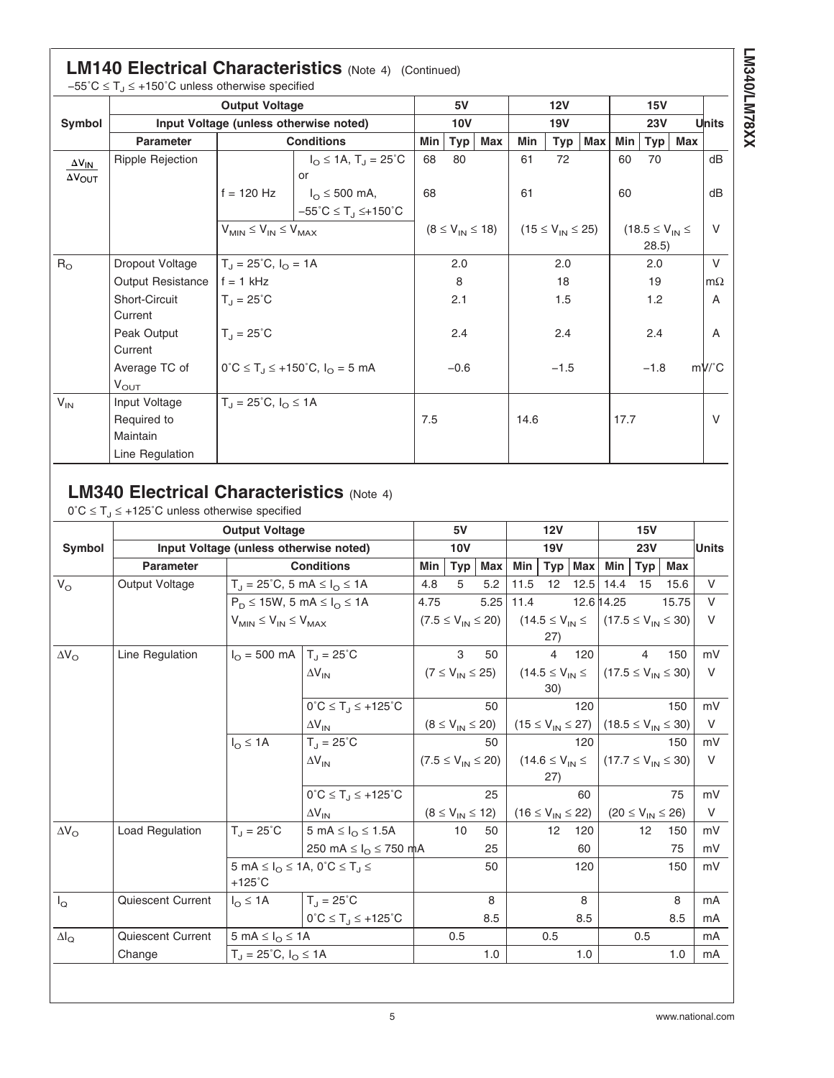# **LM140 Electrical Characteristics** [\(Note 4\)](#page-5-0) (Continued)

|                         | $-55^{\circ}$ C $\leq$ T <sub>J</sub> $\leq$ +150°C unless otherwise specified |                                   |                                                             |            |                         |     |            |                          |     |                          |        |     |               |
|-------------------------|--------------------------------------------------------------------------------|-----------------------------------|-------------------------------------------------------------|------------|-------------------------|-----|------------|--------------------------|-----|--------------------------|--------|-----|---------------|
|                         |                                                                                | <b>Output Voltage</b>             |                                                             |            | 5V                      |     |            | 12V                      |     | 15V                      |        |     |               |
| Symbol                  |                                                                                |                                   | Input Voltage (unless otherwise noted)                      | <b>10V</b> |                         |     | <b>19V</b> |                          |     | 23V                      |        |     | Units         |
|                         | <b>Parameter</b>                                                               |                                   | <b>Conditions</b>                                           | Min        | Typ                     | Max | Min        | $Type \mid$              | Max | Min                      | Typ    | Max |               |
| $\Delta V_{IN}$         | <b>Ripple Rejection</b>                                                        |                                   | $I_{\text{O}} \leq 1$ A, T <sub>J</sub> = 25 <sup>°</sup> C | 68         | 80                      |     | 61         | 72                       |     | 60                       | 70     |     | dB            |
| $\Delta V_{\text{OUT}}$ |                                                                                |                                   | or                                                          |            |                         |     |            |                          |     |                          |        |     |               |
|                         |                                                                                | $f = 120$ Hz                      | $I_{\Omega} \leq 500$ mA,                                   | 68         |                         |     | 61         |                          |     | 60                       |        |     | dB            |
|                         |                                                                                |                                   | $-55^{\circ}$ C $\leq$ T <sub>J</sub> $\leq +150^{\circ}$ C |            |                         |     |            |                          |     |                          |        |     |               |
|                         |                                                                                |                                   | $V_{MIN} \leq V_{IN} \leq V_{MAX}$                          |            | $(8 \le V_{IN} \le 18)$ |     |            | $(15 \le V_{IN} \le 25)$ |     | $(18.5 \leq V_{IN} \leq$ | V      |     |               |
|                         |                                                                                |                                   |                                                             |            |                         |     |            |                          |     | (28.5)                   |        |     |               |
| $R_{\rm O}$             | Dropout Voltage                                                                | $T_{J} = 25^{\circ}C, I_{O} = 1A$ |                                                             |            | 2.0                     |     | 2.0        |                          |     | 2.0                      |        |     | $\vee$        |
|                         | <b>Output Resistance</b>                                                       | $f = 1$ kHz                       |                                                             |            | 8                       |     |            | 18                       |     |                          | 19     |     | $m\Omega$     |
|                         | Short-Circuit                                                                  | $T_1 = 25^{\circ}$ C              |                                                             |            | 2.1                     |     |            | 1.5                      |     |                          | 1.2    |     | A             |
|                         | Current                                                                        |                                   |                                                             |            |                         |     |            |                          |     |                          |        |     |               |
|                         | Peak Output                                                                    | $T_{\rm d} = 25^{\circ}$ C        |                                                             |            | 2.4                     |     |            | 2.4                      |     |                          | 2.4    |     | A             |
|                         | Current                                                                        |                                   |                                                             |            |                         |     |            |                          |     |                          |        |     |               |
|                         | Average TC of                                                                  |                                   | $0^{\circ}C \le T_J \le +150^{\circ}C$ , $I_O = 5$ mA       |            | $-0.6$                  |     |            | $-1.5$                   |     |                          | $-1.8$ |     | $mV^{\circ}C$ |
|                         | $V_{\text{OUT}}$                                                               |                                   |                                                             |            |                         |     |            |                          |     |                          |        |     |               |
| $V_{IN}$                | Input Voltage                                                                  | $T_J = 25^{\circ}C, I_{O} \le 1A$ |                                                             |            |                         |     |            |                          |     |                          |        |     |               |
|                         | Required to                                                                    |                                   |                                                             | 7.5        |                         |     | 14.6       |                          |     | 17.7                     |        |     | V             |
|                         | Maintain                                                                       |                                   |                                                             |            |                         |     |            |                          |     |                          |        |     |               |
|                         | Line Regulation                                                                |                                   |                                                             |            |                         |     |            |                          |     |                          |        |     |               |

# **LM340 Electrical Characteristics [\(Note 4\)](#page-5-0)**

 $0^{\circ}C \leq T_{\text{d}} \leq +125^{\circ}C$  unless otherwise specified

|                    | <b>Output Voltage</b>    |                                                            |                                                             |      | 5V                        |            |                          | 12V                                 |                          |            |                          |                                                  |        |
|--------------------|--------------------------|------------------------------------------------------------|-------------------------------------------------------------|------|---------------------------|------------|--------------------------|-------------------------------------|--------------------------|------------|--------------------------|--------------------------------------------------|--------|
| Symbol             |                          | Input Voltage (unless otherwise noted)                     |                                                             |      | <b>10V</b>                |            |                          | 19V                                 |                          |            | 23V                      |                                                  | Units  |
|                    | <b>Parameter</b>         |                                                            | <b>Conditions</b>                                           | Min  | <b>Typ</b>                | <b>Max</b> | Min                      | Typ                                 | <b>Max</b>               | Min        | <b>Typ</b>               | <b>Max</b>                                       |        |
| $V_{\rm O}$        | Output Voltage           | $T_J = 25^{\circ}C$ , 5 mA $\leq I_O \leq 1$ A             |                                                             | 4.8  | 5                         | 5.2        | 11.5                     | 12 <sup>2</sup>                     | 12.5                     | 14.4       | 15                       | 15.6                                             | V      |
|                    |                          | $P_D \le 15W$ , 5 mA $\le I_O \le 1A$                      |                                                             | 4.75 |                           | 5.25       | 11.4                     |                                     |                          | 12.6 14.25 |                          | 15.75                                            | $\vee$ |
|                    |                          |                                                            | $V_{MIN} \leq V_{IN} \leq V_{MAX}$                          |      | $(7.5 \le V_{IN} \le 20)$ |            |                          |                                     |                          |            |                          | $(14.5 \le V_{IN} \le (17.5 \le V_{IN} \le 30))$ | $\vee$ |
|                    |                          |                                                            |                                                             |      |                           |            |                          | 27)                                 |                          |            |                          |                                                  |        |
| $\Delta V_{\rm O}$ | Line Regulation          | $I_{\Omega}$ = 500 mA   T <sub>J</sub> = 25 <sup>°</sup> C |                                                             |      | 3                         | 50         |                          | 4                                   | 120                      |            | 4                        | 150                                              | mV     |
|                    |                          |                                                            | $\Delta V_{IN}$                                             |      | $(7 \le V_{IN} \le 25)$   |            |                          |                                     | $(14.5 \leq V_{IN} \leq$ |            |                          | $(17.5 \le V_{IN} \le 30)$                       | $\vee$ |
|                    |                          |                                                            |                                                             |      |                           |            |                          | 30)                                 |                          |            |                          |                                                  |        |
|                    |                          |                                                            | $0^{\circ}C \leq T_{.1} \leq +125^{\circ}C$                 |      |                           | 50         |                          |                                     | 120                      |            |                          | 150                                              | mV     |
|                    | $\Delta V_{IN}$          |                                                            |                                                             |      | $(8 \le V_{IN} \le 20)$   |            | $(15 \le V_{IN} \le 27)$ |                                     |                          |            |                          | $(18.5 \le V_{IN} \le 30)$                       | V      |
|                    |                          | $I_{\Omega} \leq 1A$                                       | $T_{\rm d} = 25^{\circ}C$                                   |      |                           | 50         |                          |                                     | 120                      |            |                          | 150                                              | mV     |
|                    |                          |                                                            | $\Delta V_{IN}$                                             |      | $(7.5 \le V_{IN} \le 20)$ |            |                          | (14.6 $\leq$ V <sub>IN</sub> $\leq$ |                          |            |                          | $(17.7 \le V_{IN} \le 30)$                       | $\vee$ |
|                    |                          |                                                            |                                                             |      |                           |            |                          | 27)                                 |                          |            |                          |                                                  |        |
|                    |                          |                                                            | $0^{\circ}C \leq T_J \leq +125^{\circ}C$                    |      |                           | 25         |                          |                                     | 60                       |            |                          | 75                                               | mV     |
|                    |                          |                                                            | $\Delta V_{IN}$                                             |      | $(8 \le V_{IN} \le 12)$   |            |                          | $(16 \le V_{IN} \le 22)$            |                          |            | $(20 \le V_{IN} \le 26)$ |                                                  | V      |
| $\Delta V_{\rm O}$ | Load Regulation          | $T_{\rm d} = 25^{\circ}$ C                                 | 5 mA $\leq$ $I_{\Omega}$ $\leq$ 1.5A                        |      | 10                        | 50         |                          | 12                                  | 120                      |            | 12                       | 150                                              | mV     |
|                    |                          |                                                            | 250 mA ≤ $I_{\Omega}$ ≤ 750 mA                              |      |                           | 25         |                          |                                     | 60                       |            |                          | 75                                               | mV     |
|                    |                          |                                                            | 5 mA $\leq I_{\Omega} \leq 1$ A, 0°C $\leq T_{\Omega} \leq$ |      |                           | 50         |                          |                                     | 120                      |            |                          | 150                                              | mV     |
|                    |                          | $+125^{\circ}$ C                                           |                                                             |      |                           |            |                          |                                     |                          |            |                          |                                                  |        |
| $I_{\mathsf{Q}}$   | <b>Quiescent Current</b> | $I_{\Omega} \leq 1A$                                       | $T_{\rm J} = 25^{\circ}C$                                   |      |                           | 8          |                          |                                     | 8                        |            |                          | 8                                                | mA     |
|                    |                          |                                                            | $0^{\circ}C \leq T_{.1} \leq +125^{\circ}C$                 |      |                           | 8.5        |                          |                                     | 8.5                      |            |                          | 8.5                                              | mA     |
| $\Delta I_Q$       | Quiescent Current        | $5 \text{ mA} \leq I_{\Omega} \leq 1 \text{ A}$            |                                                             |      | 0.5                       |            |                          | 0.5                                 |                          |            | 0.5                      |                                                  | mA     |
|                    | Change                   | $T_J = 25^{\circ}C, I_{O} \le 1A$                          |                                                             |      |                           | 1.0        |                          |                                     | 1.0                      |            |                          | 1.0                                              | mA     |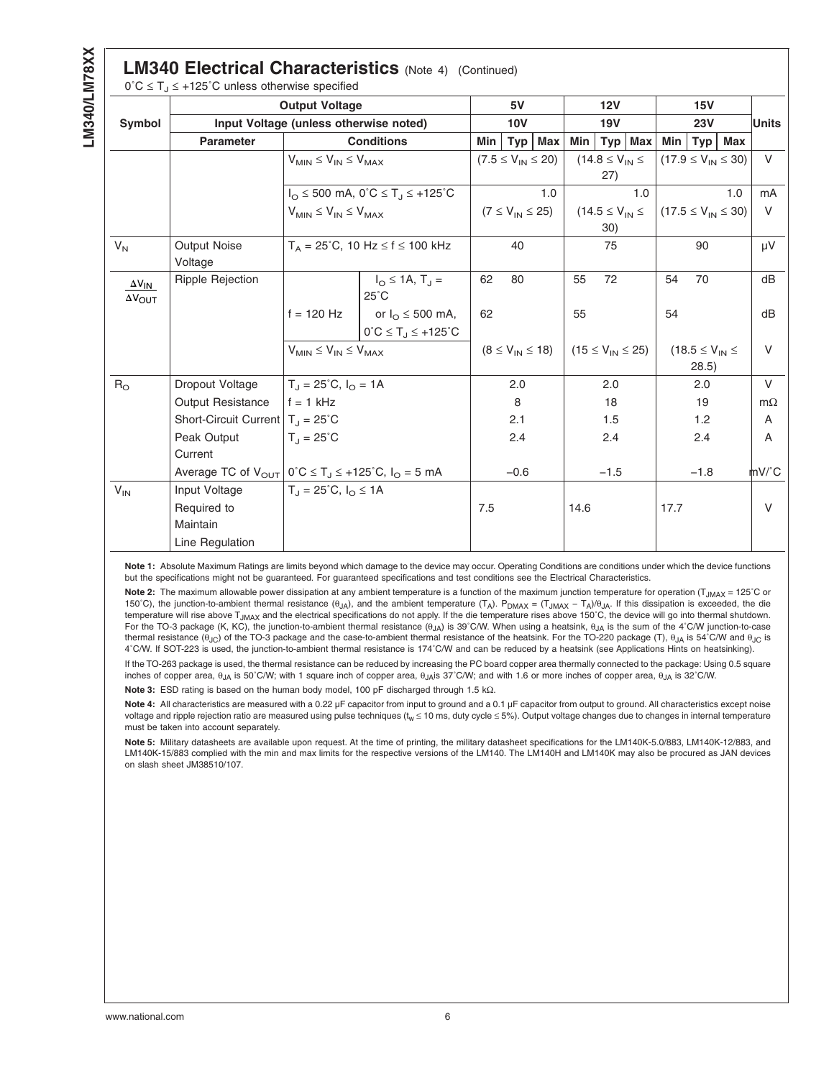<span id="page-5-0"></span>

|                                            | $0^{\circ}C \leq T_J \leq +125^{\circ}C$ unless otherwise specified |                                         |                                                                        |            |                           |                         |            |                          |           |      |                          |                            |           |
|--------------------------------------------|---------------------------------------------------------------------|-----------------------------------------|------------------------------------------------------------------------|------------|---------------------------|-------------------------|------------|--------------------------|-----------|------|--------------------------|----------------------------|-----------|
|                                            |                                                                     | <b>Output Voltage</b>                   |                                                                        | 5V         |                           |                         |            | 12V                      |           |      | 15V                      |                            |           |
| Symbol                                     |                                                                     | Input Voltage (unless otherwise noted)  |                                                                        | <b>10V</b> |                           |                         | <b>19V</b> |                          |           | 23V  |                          |                            | Units     |
|                                            | <b>Parameter</b>                                                    |                                         | <b>Conditions</b>                                                      | Min        | Typ                       | Max                     | Min        |                          | $Typ$ Max | Min  | Typ                      | Max                        |           |
|                                            |                                                                     |                                         | $V_{MIN} \leq V_{IN} \leq V_{MAX}$                                     |            | $(7.5 \le V_{IN} \le 20)$ |                         |            | $(14.8 \le V_{IN} \le$   |           |      |                          | $(17.9 \le V_{IN} \le 30)$ | V         |
|                                            |                                                                     |                                         |                                                                        |            |                           |                         |            | 27)                      |           |      |                          |                            |           |
|                                            |                                                                     |                                         | $I_{\Omega} \le 500$ mA, $0^{\circ}C \le T_{\Omega} \le +125^{\circ}C$ |            |                           | 1.0                     |            |                          | 1.0       |      |                          | 1.0                        | mA        |
|                                            |                                                                     |                                         | $V_{MIN} \leq V_{IN} \leq V_{MAX}$                                     |            |                           | $(7 \le V_{IN} \le 25)$ |            | $(14.5 \leq V_{IN} \leq$ |           |      |                          | $(17.5 \le V_{IN} \le 30)$ | V         |
|                                            |                                                                     |                                         |                                                                        |            |                           |                         |            | 30)                      |           |      |                          |                            |           |
| $V_{N}$                                    | Output Noise<br>Voltage                                             |                                         | $T_A = 25^{\circ}$ C, 10 Hz $\leq f \leq 100$ kHz                      |            | 40                        |                         |            | 75                       |           |      | 90                       |                            | μV        |
| $\Delta V_{IN}$<br>$\Delta V_{\text{OUT}}$ | Ripple Rejection                                                    |                                         | $I_{\Omega} \le 1A$ , $T_{\Omega} =$<br>$25^{\circ}$ C                 | 62         | 80                        |                         | 55         | 72                       |           | 54   | 70                       |                            | dB        |
|                                            |                                                                     | $f = 120$ Hz                            | or $I_{\odot} \leq 500$ mA,                                            | 62         |                           |                         | 55         |                          |           | 54   |                          |                            | dB        |
|                                            |                                                                     |                                         | $0^{\circ}C \leq T_J \leq +125^{\circ}C$                               |            |                           |                         |            |                          |           |      |                          |                            |           |
|                                            |                                                                     | $V_{MIN} \leq V_{IN} \leq V_{MAX}$      |                                                                        |            |                           | $(8 \le V_{IN} \le 18)$ |            | $(15 \le V_{IN} \le 25)$ |           |      | $(18.5 \leq V_{IN} \leq$ |                            | V         |
|                                            |                                                                     |                                         |                                                                        |            |                           |                         |            |                          |           |      | 28.5)                    |                            |           |
| $R_{\odot}$                                | Dropout Voltage                                                     | $T_1 = 25^{\circ}C$ , $I_{\Omega} = 1A$ |                                                                        |            | 2.0                       |                         |            | 2.0                      |           |      | 2.0                      |                            | $\vee$    |
|                                            | <b>Output Resistance</b>                                            | $f = 1$ kHz                             |                                                                        |            | 8                         |                         |            | 18                       |           |      | 19                       |                            | $m\Omega$ |
|                                            | Short-Circuit Current $T_J = 25^{\circ}C$                           |                                         |                                                                        |            | 2.1                       |                         |            | 1.5                      |           |      | 1.2                      |                            | A         |
|                                            | Peak Output                                                         | $T_{J} = 25^{\circ}C$                   |                                                                        |            | 2.4                       |                         |            | 2.4                      |           |      | 2.4                      |                            | A         |
|                                            | Current                                                             |                                         |                                                                        |            |                           |                         |            |                          |           |      |                          |                            |           |
|                                            | Average TC of $V_{OUT}$   0°C $\leq T_J \leq +125$ °C, $I_O = 5$ mA |                                         |                                                                        |            | $-0.6$                    |                         |            | $-1.5$                   |           |      | $-1.8$                   |                            | mV/°C     |
| $V_{IN}$                                   | Input Voltage                                                       | $T_{\rm d}$ = 25°C, $I_{\rm O} \le 1$ A |                                                                        |            |                           |                         |            |                          |           |      |                          |                            |           |
|                                            | Required to                                                         |                                         |                                                                        | 7.5        |                           |                         | 14.6       |                          |           | 17.7 |                          |                            | $\vee$    |
|                                            | Maintain                                                            |                                         |                                                                        |            |                           |                         |            |                          |           |      |                          |                            |           |
|                                            | Line Regulation                                                     |                                         |                                                                        |            |                           |                         |            |                          |           |      |                          |                            |           |

**Note 1:** Absolute Maximum Ratings are limits beyond which damage to the device may occur. Operating Conditions are conditions under which the device functions but the specifications might not be guaranteed. For guaranteed specifications and test conditions see the Electrical Characteristics.

Note 2: The maximum allowable power dissipation at any ambient temperature is a function of the maximum junction temperature for operation (T<sub>JMAX</sub> = 125<sup>°</sup>C or 150°C), the junction-to-ambient thermal resistance (θ<sub>JA</sub>), and the ambient temperature (T<sub>A</sub>). P<sub>DMAX</sub> = (T<sub>JMAX</sub> - T<sub>A</sub>)/θ<sub>JA</sub>. If this dissipation is exceeded, the die temperature will rise above T<sub>JMAX</sub> and the electrical specifications do not apply. If the die temperature rises above 150°C, the device will go into thermal shutdown. For the TO-3 package (K, KC), the junction-to-ambient thermal resistance  $(\theta_{JA})$  is 39°C/W. When using a heatsink,  $\theta_{JA}$  is the sum of the 4°C/W junction-to-case thermal resistance  $(θ<sub>JC</sub>)$  of the TO-3 package and the case-to-ambient thermal resistance of the heatsink. For the TO-220 package (T),  $θ<sub>JA</sub>$  is 54°C/W and  $θ<sub>JC</sub>$  is 4˚C/W. If SOT-223 is used, the junction-to-ambient thermal resistance is 174˚C/W and can be reduced by a heatsink (see Applications Hints on heatsinking).

If the TO-263 package is used, the thermal resistance can be reduced by increasing the PC board copper area thermally connected to the package: Using 0.5 square inches of copper area, θJA is 50˚C/W; with 1 square inch of copper area, θJAis 37˚C/W; and with 1.6 or more inches of copper area, θJA is 32˚C/W. **Note 3:** ESD rating is based on the human body model, 100 pF discharged through 1.5 kΩ.

Note 4: All characteristics are measured with a 0.22 µF capacitor from input to ground and a 0.1 µF capacitor from output to ground. All characteristics except noise voltage and ripple rejection ratio are measured using pulse techniques ( $t_w \le 10$  ms, duty cycle  $\le 5\%$ ). Output voltage changes due to changes in internal temperature must be taken into account separately.

**Note 5:** Military datasheets are available upon request. At the time of printing, the military datasheet specifications for the LM140K-5.0/883, LM140K-12/883, and LM140K-15/883 complied with the min and max limits for the respective versions of the LM140. The LM140H and LM140K may also be procured as JAN devices on slash sheet JM38510/107.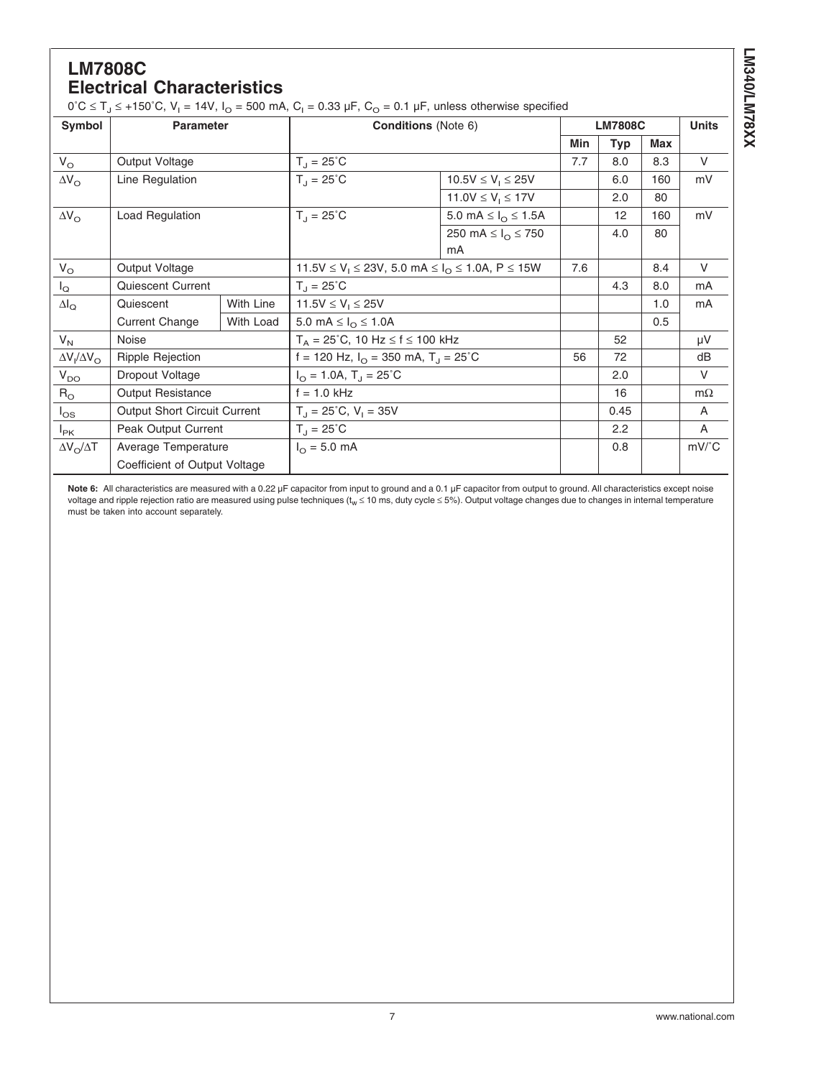## **LM7808C Electrical Characteristics**

 $0^{\circ}C \le T_J \le +150^{\circ}C$ ,  $V_I = 14V$ ,  $I_O = 500$  mA,  $C_I = 0.33$   $\mu$ F,  $C_O = 0.1$   $\mu$ F, unless otherwise specified

| Symbol                  | <b>Parameter</b>              |           | <b>Conditions</b> (Note 6)                                              |                                        | <b>LM7808C</b> |            | <b>Units</b> |                                |
|-------------------------|-------------------------------|-----------|-------------------------------------------------------------------------|----------------------------------------|----------------|------------|--------------|--------------------------------|
|                         |                               |           |                                                                         |                                        | Min            | <b>Typ</b> | <b>Max</b>   |                                |
| $V_{\rm O}$             | Output Voltage                |           | $T_{\rm d} = 25^{\circ}$ C                                              |                                        | 7.7            | 8.0        | 8.3          | $\vee$                         |
| $\Delta V_{\rm O}$      | Line Regulation               |           | $T_{\rm d} = 25^{\circ}$ C                                              |                                        | 6.0            | 160        | mV           |                                |
|                         |                               |           |                                                                         | 11.0V $\leq$ V <sub>1</sub> $\leq$ 17V |                | 2.0        | 80           |                                |
| $\Delta V_{\rm O}$      | Load Regulation               |           | $T_{\rm d} = 25^{\circ}$ C                                              | 5.0 mA $\leq$ $I_{\odot}$ $\leq$ 1.5A  |                | 12         | 160          | mV                             |
|                         |                               |           |                                                                         | 250 mA $\leq I_{\Omega} \leq 750$      |                | 4.0        | 80           |                                |
|                         |                               |           |                                                                         | mA                                     |                |            |              |                                |
| $V_{\rm O}$             | Output Voltage                |           | $11.5V \le V_1 \le 23V$ , 5.0 mA $\le I_O \le 1.0A$ , P $\le 15W$       | 7.6                                    |                | 8.4        | V            |                                |
| $I_{\mathsf{Q}}$        | Quiescent Current             |           | $T_1 = 25^{\circ}$ C                                                    |                                        | 4.3            | 8.0        | mA           |                                |
| $\Delta I_{\rm Q}$      | Quiescent                     | With Line | $11.5V \le V_1 \le 25V$                                                 |                                        |                |            | 1.0          | mA                             |
|                         | <b>Current Change</b>         | With Load | 5.0 mA $\leq I_{\odot} \leq 1.0$ A                                      |                                        |                |            | 0.5          |                                |
| $V_{N}$                 | Noise                         |           | $T_A = 25^{\circ}$ C, 10 Hz $\leq f \leq 100$ kHz                       |                                        |                | 52         |              | μV                             |
| $\Delta V_I/\Delta V_O$ | <b>Ripple Rejection</b>       |           | f = 120 Hz, $I_{\text{O}}$ = 350 mA, T <sub>J</sub> = 25 <sup>°</sup> C |                                        | 56             | 72         |              | dB                             |
| $V_{DO}$                | Dropout Voltage               |           | $I_{\text{O}} = 1.0$ A, T <sub>J</sub> = 25 <sup>°</sup> C              |                                        |                | 2.0        |              | V                              |
| $R_{\rm O}$             | <b>Output Resistance</b>      |           | $f = 1.0$ kHz                                                           |                                        |                |            |              | $m\Omega$                      |
| $I_{OS}$                | Output Short Circuit Current  |           | $T_{J} = 25^{\circ}C$ , $V_{I} = 35V$                                   |                                        | 0.45           |            | $\mathsf{A}$ |                                |
| $I_{PK}$                | Peak Output Current           |           | $T_{\rm d} = 25^{\circ}$ C                                              |                                        | 2.2            |            | A            |                                |
| $\Delta V_O / \Delta T$ | Average Temperature           |           | $I_{\odot} = 5.0$ mA                                                    |                                        |                | 0.8        |              | $mV$ <sup><math>c</math></sup> |
|                         | Coefficient of Output Voltage |           |                                                                         |                                        |                |            |              |                                |

Note 6: All characteristics are measured with a 0.22 µF capacitor from input to ground and a 0.1 µF capacitor from output to ground. All characteristics except noise voltage and ripple rejection ratio are measured using pulse techniques (t<sub>w</sub> ≤ 10 ms, duty cycle ≤ 5%). Output voltage changes due to changes in internal temperature<br>must be taken into account separately.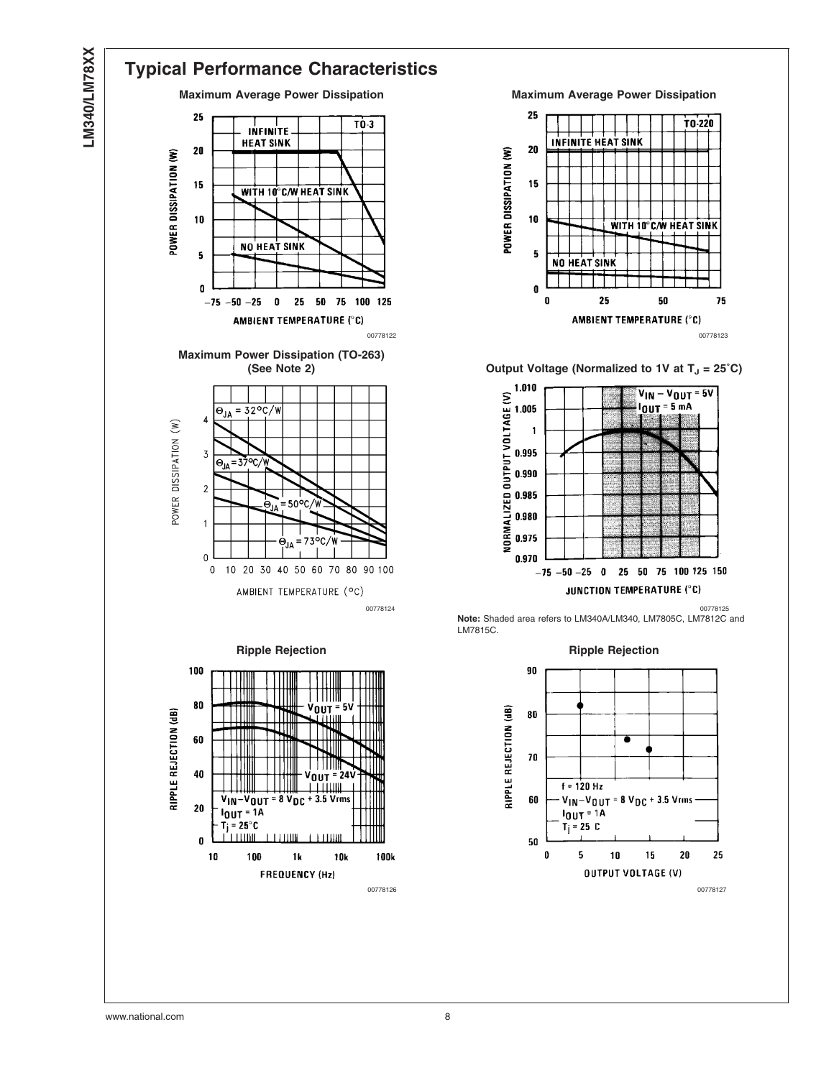

### **Typical Performance Characteristics Maximum Average Power Dissipation Maximum Average Power Dissipation** 25 T<sub>0</sub>-3 **INFINITE HEAT SINK**  $20$ POWER DISSIPATION (W) 15 **WITH 10°C/W HEAT SINK** 10 NO HEAT SINK 5

0

 $-75$ 

 $-50$  $-25$  $\pmb{0}$ 25  $50$ 75 100 125

AMBIENT TEMPERATURE (°C) **Maximum Power Dissipation (TO-263)**  $=32^{\circ}$ C/W  $\Theta_{JA}$  $\boldsymbol{\Lambda}$ POWER DISSIPATION (W)  $\mathbf 3$ =37°C  $\Theta_{L}$  $\sqrt{2}$ 50  $\mathbf{1}$ = 73°C  $\pmb{0}$  $\,0\,$ 10 20 30 40 50 60 70 80 90 100 AMBIENT TEMPERATURE (°C)





**(See Note 2) Cutput Voltage (Normalized to 1V at T<sub>J</sub> = 25°C)** 



00778124 00778125 **Note:** Shaded area refers to LM340A/LM340, LM7805C, LM7812C and LM7815C.

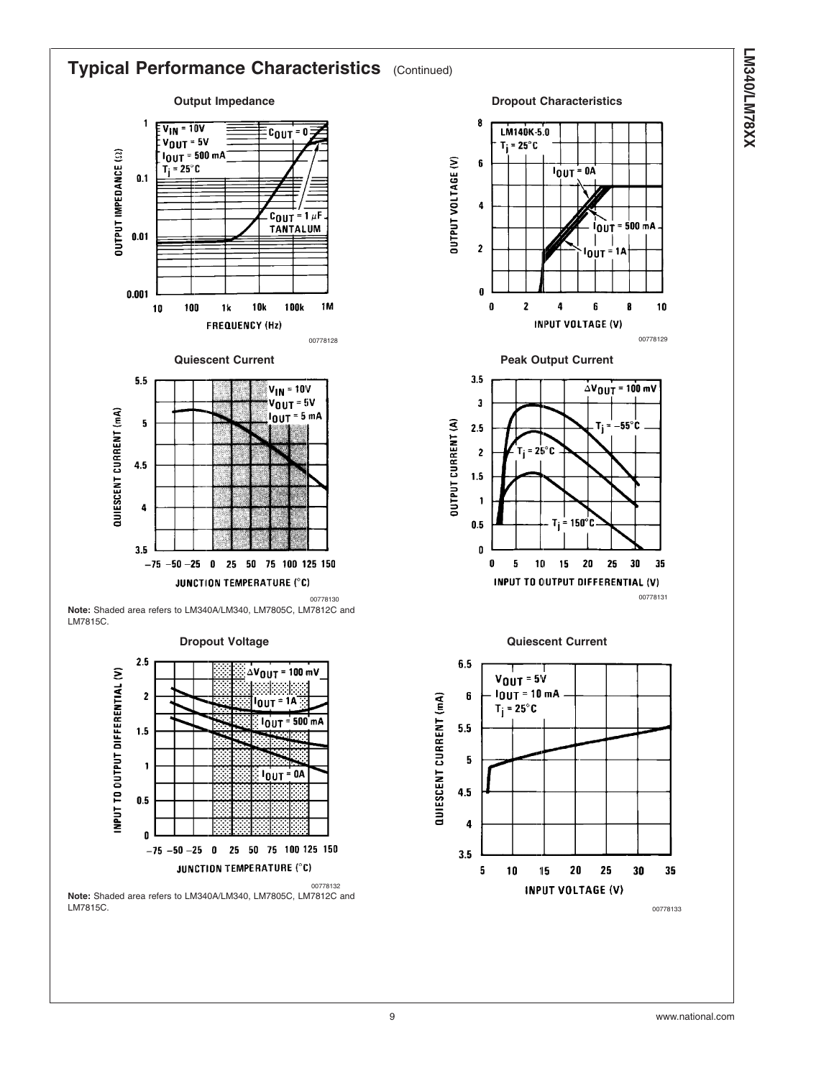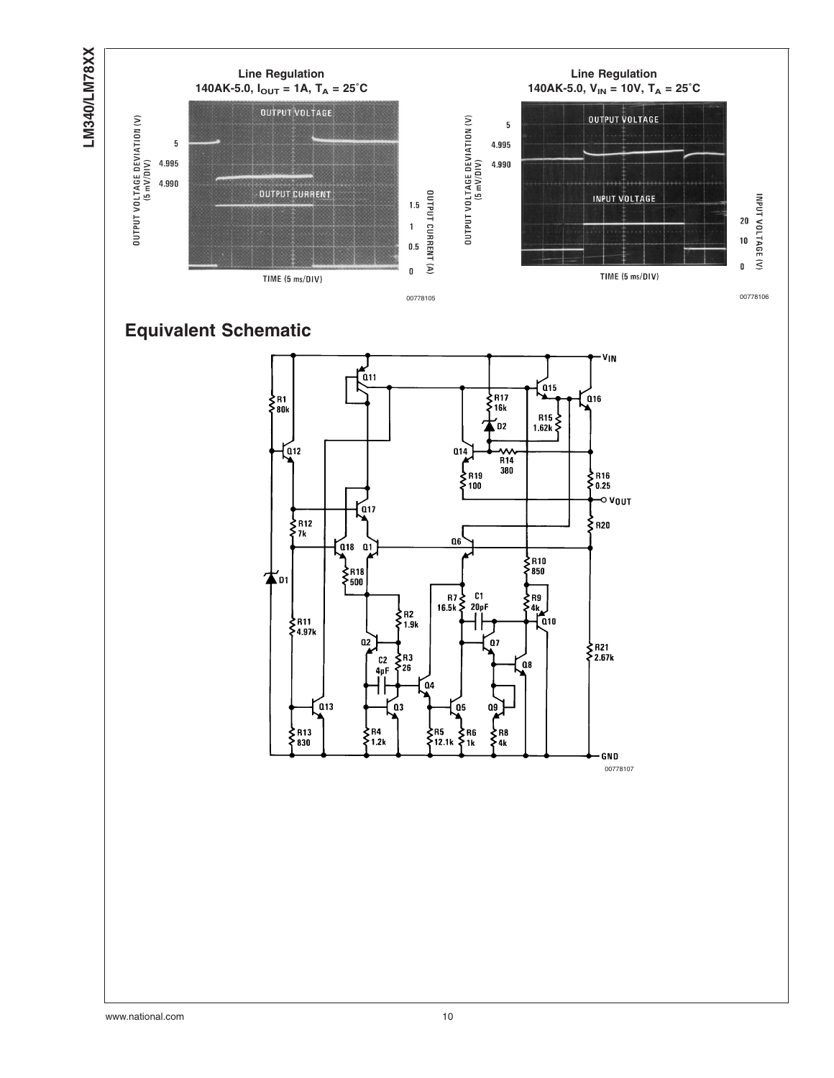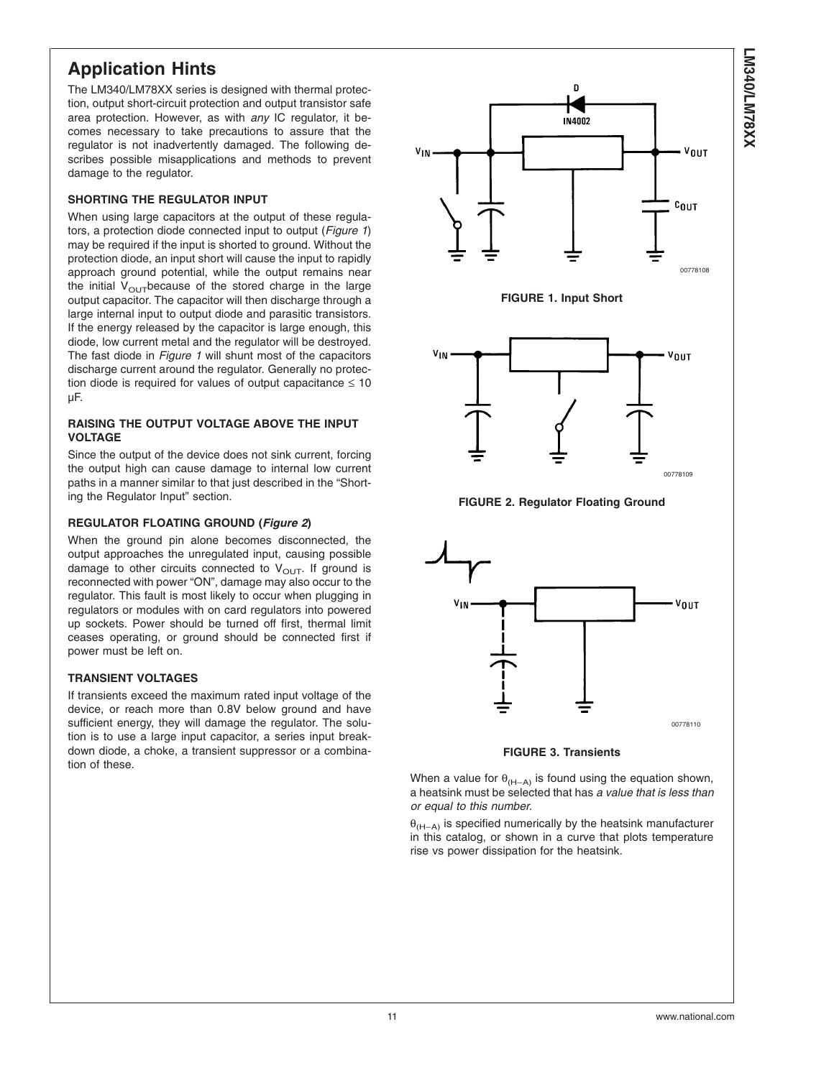# **Application Hints**

The LM340/LM78XX series is designed with thermal protection, output short-circuit protection and output transistor safe area protection. However, as with *any* IC regulator, it becomes necessary to take precautions to assure that the regulator is not inadvertently damaged. The following describes possible misapplications and methods to prevent damage to the regulator.

### **SHORTING THE REGULATOR INPUT**

When using large capacitors at the output of these regulators, a protection diode connected input to output (*Figure 1*) may be required if the input is shorted to ground. Without the protection diode, an input short will cause the input to rapidly approach ground potential, while the output remains near the initial  $V_{\text{OUT}}$  because of the stored charge in the large output capacitor. The capacitor will then discharge through a large internal input to output diode and parasitic transistors. If the energy released by the capacitor is large enough, this diode, low current metal and the regulator will be destroyed. The fast diode in *Figure 1* will shunt most of the capacitors discharge current around the regulator. Generally no protection diode is required for values of output capacitance  $\leq 10$ µF.

### **RAISING THE OUTPUT VOLTAGE ABOVE THE INPUT VOLTAGE**

Since the output of the device does not sink current, forcing the output high can cause damage to internal low current paths in a manner similar to that just described in the "Shorting the Regulator Input" section.

### **REGULATOR FLOATING GROUND (***Figure 2***)**

When the ground pin alone becomes disconnected, the output approaches the unregulated input, causing possible damage to other circuits connected to  $V<sub>OUT</sub>$ . If ground is reconnected with power "ON", damage may also occur to the regulator. This fault is most likely to occur when plugging in regulators or modules with on card regulators into powered up sockets. Power should be turned off first, thermal limit ceases operating, or ground should be connected first if power must be left on.

### **TRANSIENT VOLTAGES**

If transients exceed the maximum rated input voltage of the device, or reach more than 0.8V below ground and have sufficient energy, they will damage the regulator. The solution is to use a large input capacitor, a series input breakdown diode, a choke, a transient suppressor or a combination of these.





**FIGURE 3. Transients**

When a value for  $\theta_{(H-A)}$  is found using the equation shown, a heatsink must be selected that has *a value that is less than or equal to this number.*

 $\theta_{(H-A)}$  is specified numerically by the heatsink manufacturer in this catalog, or shown in a curve that plots temperature rise vs power dissipation for the heatsink.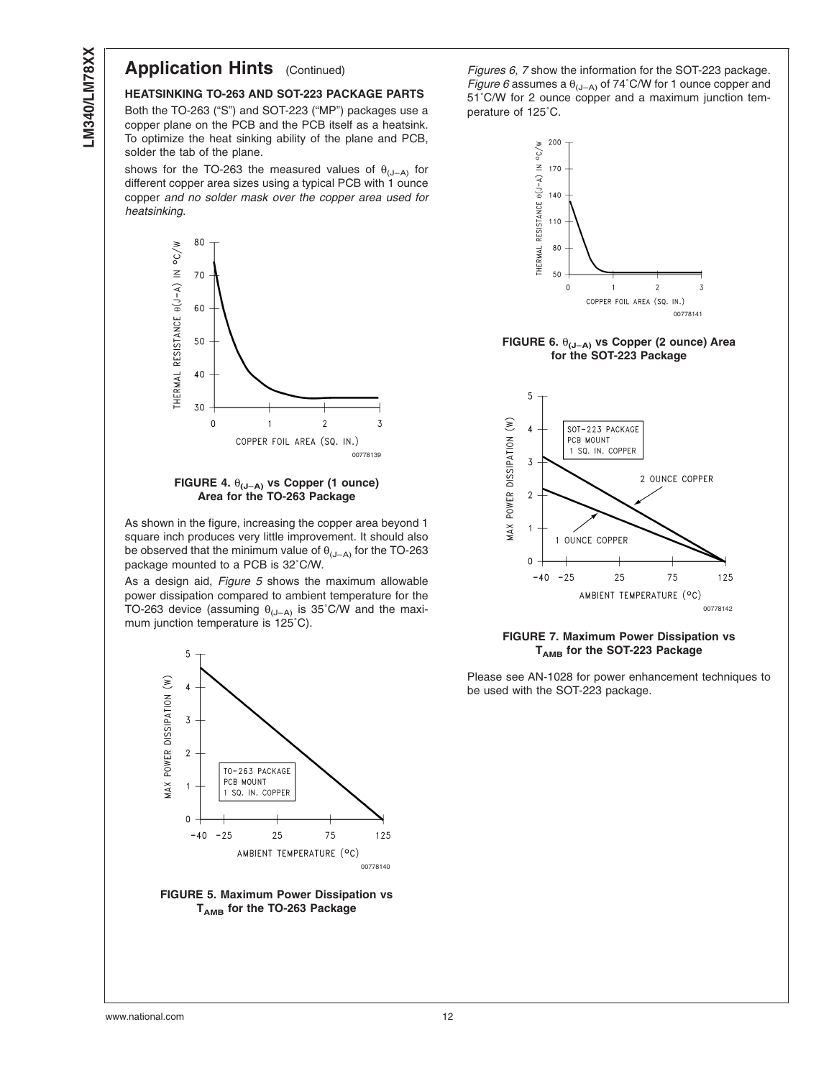## **Application Hints** (Continued)

### **HEATSINKING TO-263 AND SOT-223 PACKAGE PARTS**

Both the TO-263 ("S") and SOT-223 ("MP") packages use a copper plane on the PCB and the PCB itself as a heatsink. To optimize the heat sinking ability of the plane and PCB, solder the tab of the plane.

shows for the TO-263 the measured values of  $\theta_{(J-A)}$  for different copper area sizes using a typical PCB with 1 ounce copper *and no solder mask over the copper area used for heatsinking*.



*Figures 6, 7* show the information for the SOT-223 package. *Figure 6* assumes a  $\theta$ <sub>(J-A)</sub> of 74°C/W for 1 ounce copper and 51˚C/W for 2 ounce copper and a maximum junction temperature of 125˚C.



### **FIGURE 6.** θ**(J–A) vs Copper (2 ounce) Area for the SOT-223 Package**



### **FIGURE 7. Maximum Power Dissipation vs TAMB for the SOT-223 Package**

Please see AN-1028 for power enhancement techniques to be used with the SOT-223 package.



As shown in the figure, increasing the copper area beyond 1 square inch produces very little improvement. It should also be observed that the minimum value of  $\theta_{(J-A)}$  for the TO-263 package mounted to a PCB is 32˚C/W.

As a design aid, *Figure 5* shows the maximum allowable power dissipation compared to ambient temperature for the TO-263 device (assuming  $\theta_{\text{(J-A)}}$  is 35°C/W and the maximum junction temperature is 125˚C).



**FIGURE 5. Maximum Power Dissipation vs TAMB for the TO-263 Package**

www.national.com 12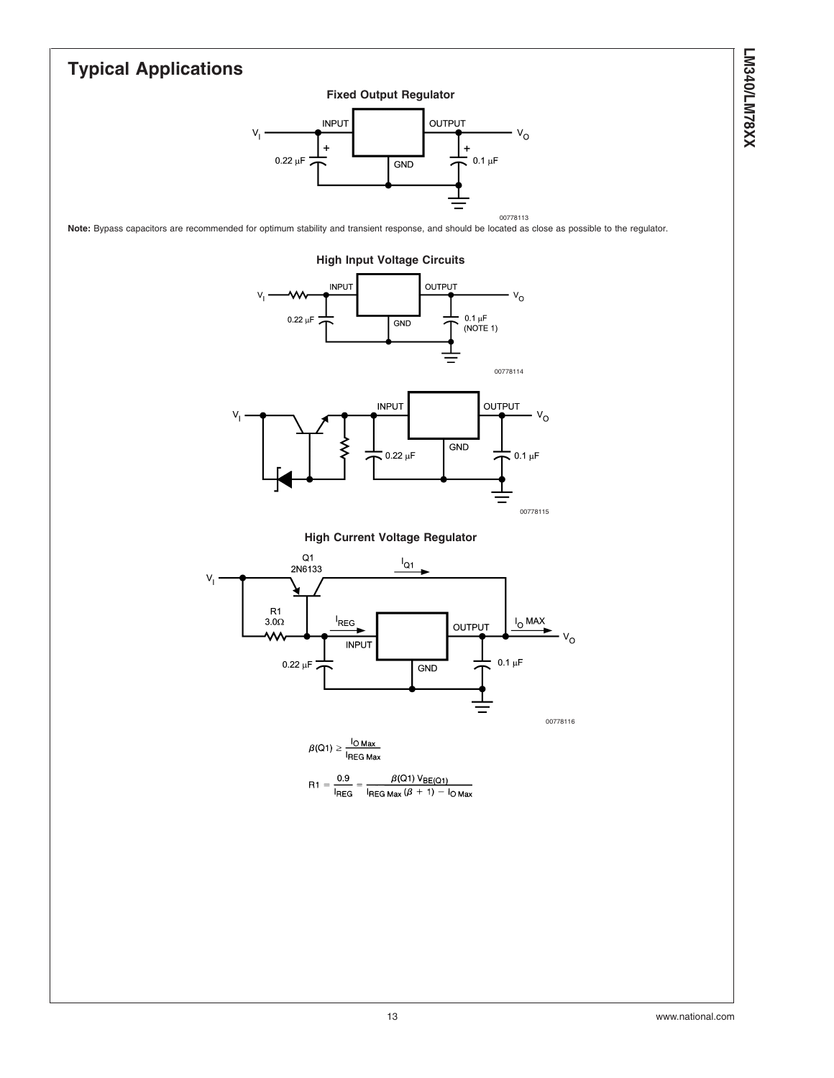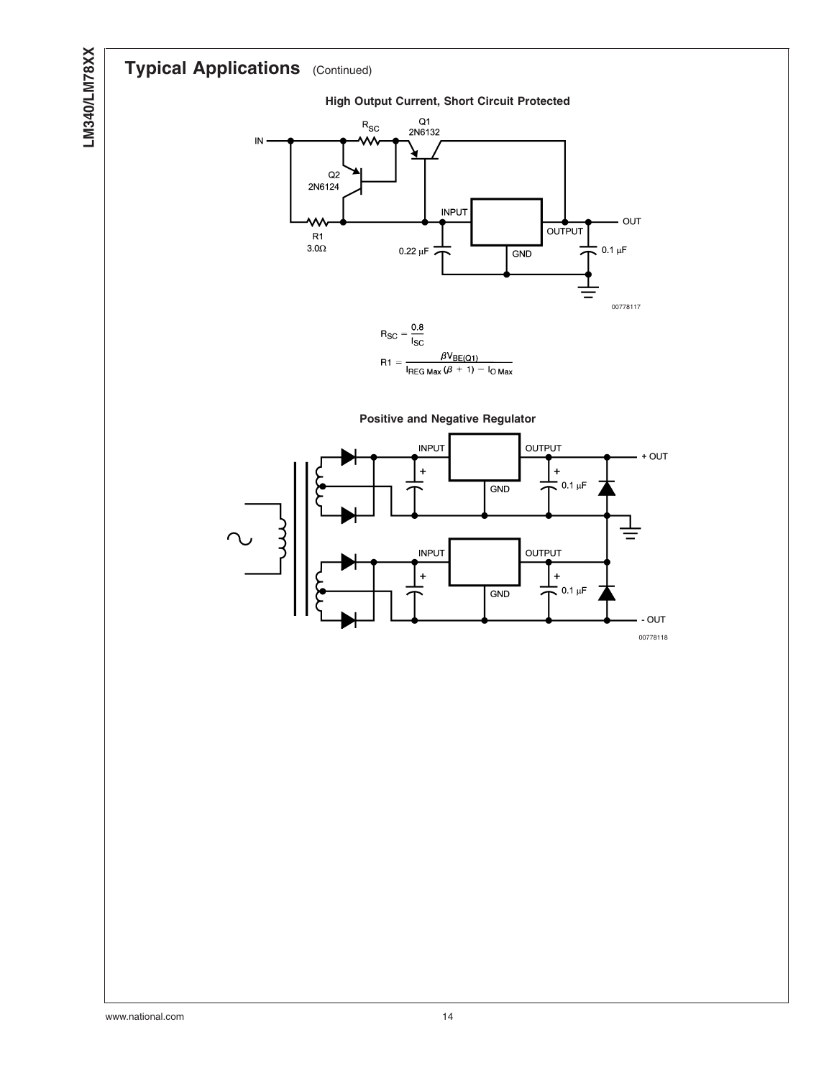# **Typical Applications** (Continued)



**High Output Current, Short Circuit Protected**





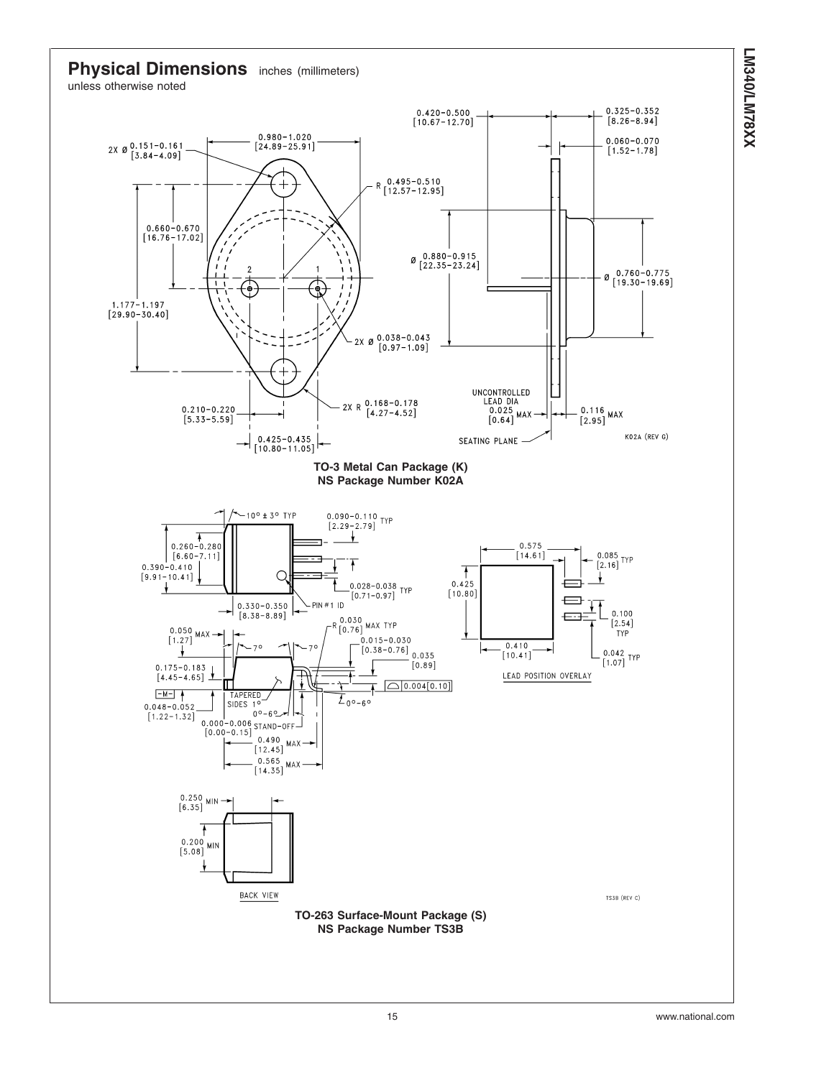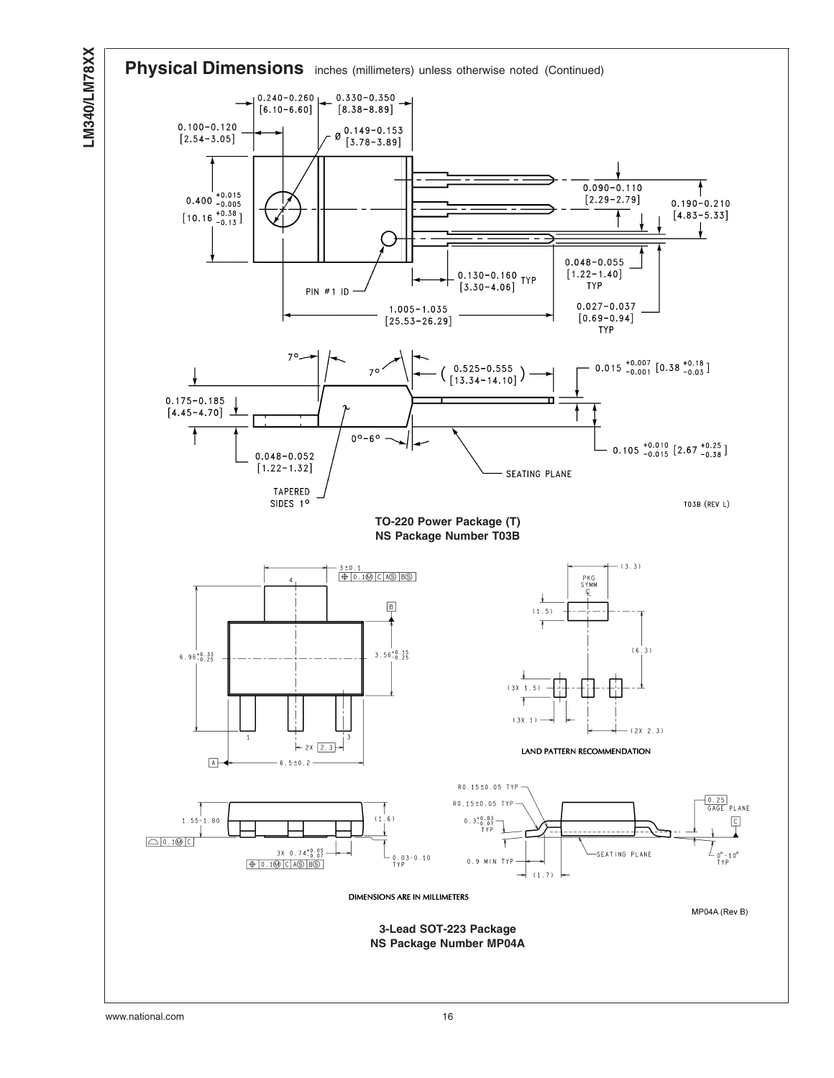